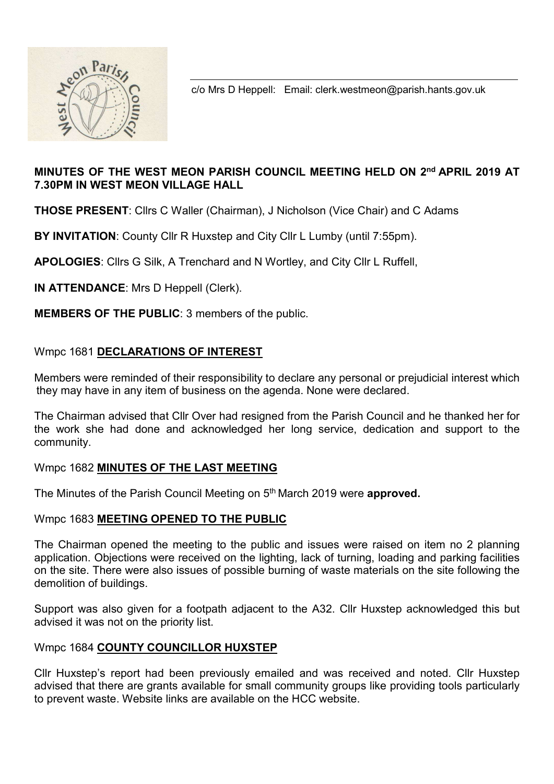

c/o Mrs D Heppell: Email: clerk.westmeon@parish.hants.gov.uk

## MINUTES OF THE WEST MEON PARISH COUNCIL MEETING HELD ON 2<sup>nd</sup> APRIL 2019 AT 7.30PM IN WEST MEON VILLAGE HALL

THOSE PRESENT: Cllrs C Waller (Chairman), J Nicholson (Vice Chair) and C Adams

BY INVITATION: County Cllr R Huxstep and City Cllr L Lumby (until 7:55pm).

APOLOGIES: Cllrs G Silk, A Trenchard and N Wortley, and City Cllr L Ruffell,

IN ATTENDANCE: Mrs D Heppell (Clerk).

MEMBERS OF THE PUBLIC: 3 members of the public.

## Wmpc 1681 DECLARATIONS OF INTEREST

Members were reminded of their responsibility to declare any personal or prejudicial interest which they may have in any item of business on the agenda. None were declared.

The Chairman advised that Cllr Over had resigned from the Parish Council and he thanked her for the work she had done and acknowledged her long service, dedication and support to the community.

## Wmpc 1682 MINUTES OF THE LAST MEETING

The Minutes of the Parish Council Meeting on 5<sup>th</sup> March 2019 were **approved.** 

## Wmpc 1683 MEETING OPENED TO THE PUBLIC

The Chairman opened the meeting to the public and issues were raised on item no 2 planning application. Objections were received on the lighting, lack of turning, loading and parking facilities on the site. There were also issues of possible burning of waste materials on the site following the demolition of buildings.

Support was also given for a footpath adjacent to the A32. Cllr Huxstep acknowledged this but advised it was not on the priority list.

## Wmpc 1684 COUNTY COUNCILLOR HUXSTEP

Cllr Huxstep's report had been previously emailed and was received and noted. Cllr Huxstep advised that there are grants available for small community groups like providing tools particularly to prevent waste. Website links are available on the HCC website.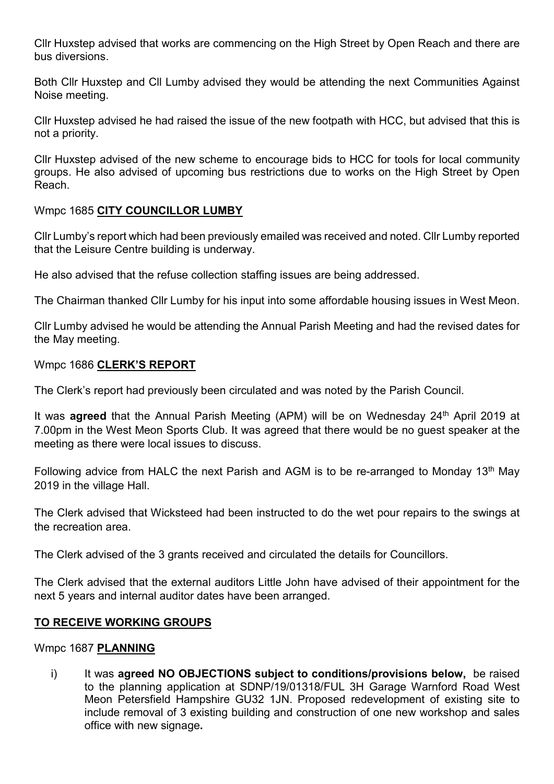Cllr Huxstep advised that works are commencing on the High Street by Open Reach and there are bus diversions.

Both Cllr Huxstep and Cll Lumby advised they would be attending the next Communities Against Noise meeting.

Cllr Huxstep advised he had raised the issue of the new footpath with HCC, but advised that this is not a priority.

Cllr Huxstep advised of the new scheme to encourage bids to HCC for tools for local community groups. He also advised of upcoming bus restrictions due to works on the High Street by Open Reach.

## Wmpc 1685 CITY COUNCILLOR LUMBY

Cllr Lumby's report which had been previously emailed was received and noted. Cllr Lumby reported that the Leisure Centre building is underway.

He also advised that the refuse collection staffing issues are being addressed.

The Chairman thanked Cllr Lumby for his input into some affordable housing issues in West Meon.

Cllr Lumby advised he would be attending the Annual Parish Meeting and had the revised dates for the May meeting.

#### Wmpc 1686 CLERK'S REPORT

The Clerk's report had previously been circulated and was noted by the Parish Council.

It was **agreed** that the Annual Parish Meeting (APM) will be on Wednesday  $24<sup>th</sup>$  April 2019 at 7.00pm in the West Meon Sports Club. It was agreed that there would be no guest speaker at the meeting as there were local issues to discuss.

Following advice from HALC the next Parish and AGM is to be re-arranged to Monday 13<sup>th</sup> May 2019 in the village Hall.

The Clerk advised that Wicksteed had been instructed to do the wet pour repairs to the swings at the recreation area.

The Clerk advised of the 3 grants received and circulated the details for Councillors.

The Clerk advised that the external auditors Little John have advised of their appointment for the next 5 years and internal auditor dates have been arranged.

#### TO RECEIVE WORKING GROUPS

#### Wmpc 1687 PLANNING

i) It was **agreed NO OBJECTIONS subject to conditions/provisions below**, be raised to the planning application at SDNP/19/01318/FUL 3H Garage Warnford Road West Meon Petersfield Hampshire GU32 1JN. Proposed redevelopment of existing site to include removal of 3 existing building and construction of one new workshop and sales office with new signage.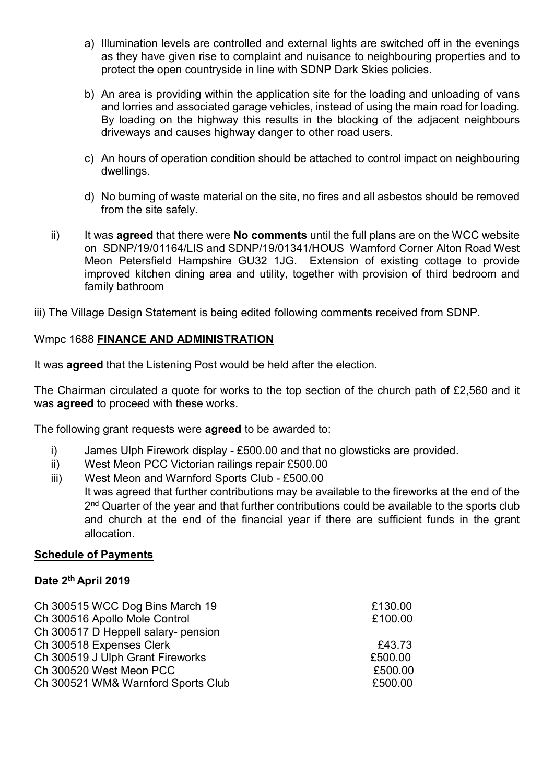- a) Illumination levels are controlled and external lights are switched off in the evenings as they have given rise to complaint and nuisance to neighbouring properties and to protect the open countryside in line with SDNP Dark Skies policies.
- b) An area is providing within the application site for the loading and unloading of vans and lorries and associated garage vehicles, instead of using the main road for loading. By loading on the highway this results in the blocking of the adjacent neighbours driveways and causes highway danger to other road users.
- c) An hours of operation condition should be attached to control impact on neighbouring dwellings.
- d) No burning of waste material on the site, no fires and all asbestos should be removed from the site safely.
- ii) It was **agreed** that there were **No comments** until the full plans are on the WCC website on SDNP/19/01164/LIS and SDNP/19/01341/HOUS Warnford Corner Alton Road West Meon Petersfield Hampshire GU32 1JG. Extension of existing cottage to provide improved kitchen dining area and utility, together with provision of third bedroom and family bathroom
- iii) The Village Design Statement is being edited following comments received from SDNP.

# Wmpc 1688 FINANCE AND ADMINISTRATION

It was **agreed** that the Listening Post would be held after the election.

The Chairman circulated a quote for works to the top section of the church path of £2,560 and it was **agreed** to proceed with these works.

The following grant requests were **agreed** to be awarded to:

- i) James Ulph Firework display £500.00 and that no glowsticks are provided.
- ii) West Meon PCC Victorian railings repair £500.00
- iii) West Meon and Warnford Sports Club £500.00 It was agreed that further contributions may be available to the fireworks at the end of the 2<sup>nd</sup> Quarter of the year and that further contributions could be available to the sports club and church at the end of the financial year if there are sufficient funds in the grant allocation.

## Schedule of Payments

## Date 2<sup>th</sup> April 2019

| Ch 300515 WCC Dog Bins March 19     | £130.00 |
|-------------------------------------|---------|
| Ch 300516 Apollo Mole Control       | £100.00 |
| Ch 300517 D Heppell salary- pension |         |
| Ch 300518 Expenses Clerk            | £43.73  |
| Ch 300519 J Ulph Grant Fireworks    | £500.00 |
| Ch 300520 West Meon PCC             | £500.00 |
| Ch 300521 WM& Warnford Sports Club  | £500.00 |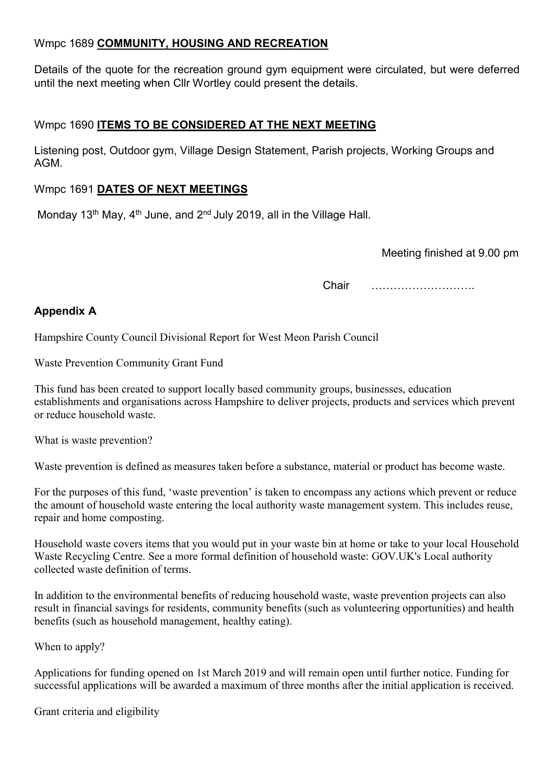# Wmpc 1689 COMMUNITY, HOUSING AND RECREATION

Details of the quote for the recreation ground gym equipment were circulated, but were deferred until the next meeting when Cllr Wortley could present the details.

# Wmpc 1690 ITEMS TO BE CONSIDERED AT THE NEXT MEETING

Listening post, Outdoor gym, Village Design Statement, Parish projects, Working Groups and AGM.

## Wmpc 1691 DATES OF NEXT MEETINGS

Monday 13<sup>th</sup> May, 4<sup>th</sup> June, and 2<sup>nd</sup> July 2019, all in the Village Hall.

Meeting finished at 9.00 pm

Chair ……………………….

# Appendix A

Hampshire County Council Divisional Report for West Meon Parish Council

Waste Prevention Community Grant Fund

This fund has been created to support locally based community groups, businesses, education establishments and organisations across Hampshire to deliver projects, products and services which prevent or reduce household waste.

What is waste prevention?

Waste prevention is defined as measures taken before a substance, material or product has become waste.

For the purposes of this fund, 'waste prevention' is taken to encompass any actions which prevent or reduce the amount of household waste entering the local authority waste management system. This includes reuse, repair and home composting.

Household waste covers items that you would put in your waste bin at home or take to your local Household Waste Recycling Centre. See a more formal definition of household waste: GOV.UK's Local authority collected waste definition of terms.

In addition to the environmental benefits of reducing household waste, waste prevention projects can also result in financial savings for residents, community benefits (such as volunteering opportunities) and health benefits (such as household management, healthy eating).

When to apply?

Applications for funding opened on 1st March 2019 and will remain open until further notice. Funding for successful applications will be awarded a maximum of three months after the initial application is received.

Grant criteria and eligibility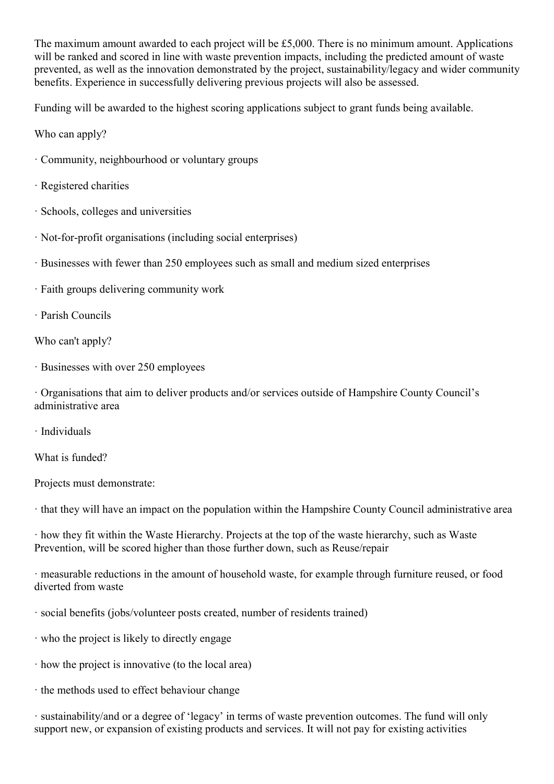The maximum amount awarded to each project will be £5,000. There is no minimum amount. Applications will be ranked and scored in line with waste prevention impacts, including the predicted amount of waste prevented, as well as the innovation demonstrated by the project, sustainability/legacy and wider community benefits. Experience in successfully delivering previous projects will also be assessed.

Funding will be awarded to the highest scoring applications subject to grant funds being available.

Who can apply?

- · Community, neighbourhood or voluntary groups
- · Registered charities
- · Schools, colleges and universities
- · Not-for-profit organisations (including social enterprises)
- · Businesses with fewer than 250 employees such as small and medium sized enterprises
- · Faith groups delivering community work
- · Parish Councils

Who can't apply?

· Businesses with over 250 employees

· Organisations that aim to deliver products and/or services outside of Hampshire County Council's administrative area

· Individuals

What is funded?

Projects must demonstrate:

· that they will have an impact on the population within the Hampshire County Council administrative area

· how they fit within the Waste Hierarchy. Projects at the top of the waste hierarchy, such as Waste Prevention, will be scored higher than those further down, such as Reuse/repair

· measurable reductions in the amount of household waste, for example through furniture reused, or food diverted from waste

- · social benefits (jobs/volunteer posts created, number of residents trained)
- · who the project is likely to directly engage
- · how the project is innovative (to the local area)
- · the methods used to effect behaviour change

· sustainability/and or a degree of 'legacy' in terms of waste prevention outcomes. The fund will only support new, or expansion of existing products and services. It will not pay for existing activities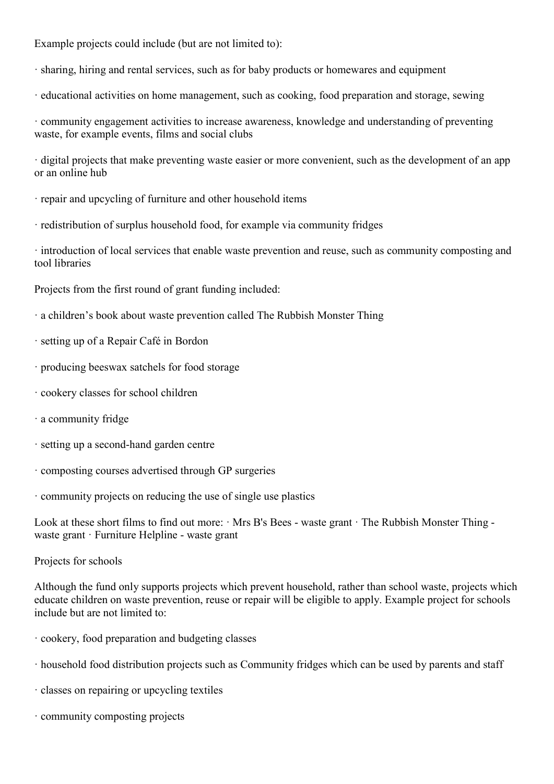Example projects could include (but are not limited to):

- · sharing, hiring and rental services, such as for baby products or homewares and equipment
- · educational activities on home management, such as cooking, food preparation and storage, sewing

· community engagement activities to increase awareness, knowledge and understanding of preventing waste, for example events, films and social clubs

· digital projects that make preventing waste easier or more convenient, such as the development of an app or an online hub

- · repair and upcycling of furniture and other household items
- · redistribution of surplus household food, for example via community fridges

· introduction of local services that enable waste prevention and reuse, such as community composting and tool libraries

Projects from the first round of grant funding included:

- · a children's book about waste prevention called The Rubbish Monster Thing
- · setting up of a Repair Café in Bordon
- · producing beeswax satchels for food storage
- · cookery classes for school children
- · a community fridge
- · setting up a second-hand garden centre
- · composting courses advertised through GP surgeries
- · community projects on reducing the use of single use plastics

Look at these short films to find out more:  $\cdot$  Mrs B's Bees - waste grant  $\cdot$  The Rubbish Monster Thing waste grant · Furniture Helpline - waste grant

Projects for schools

Although the fund only supports projects which prevent household, rather than school waste, projects which educate children on waste prevention, reuse or repair will be eligible to apply. Example project for schools include but are not limited to:

- · cookery, food preparation and budgeting classes
- · household food distribution projects such as Community fridges which can be used by parents and staff
- · classes on repairing or upcycling textiles
- · community composting projects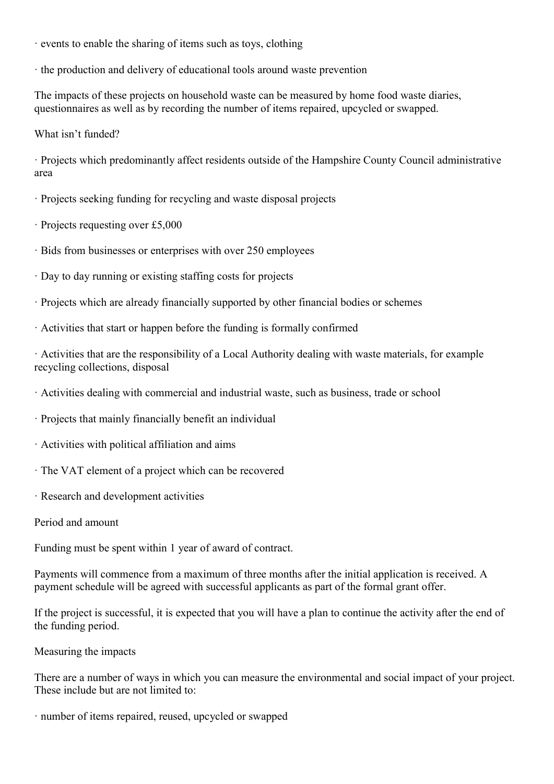- · events to enable the sharing of items such as toys, clothing
- · the production and delivery of educational tools around waste prevention

The impacts of these projects on household waste can be measured by home food waste diaries, questionnaires as well as by recording the number of items repaired, upcycled or swapped.

What isn't funded?

· Projects which predominantly affect residents outside of the Hampshire County Council administrative area

- · Projects seeking funding for recycling and waste disposal projects
- · Projects requesting over £5,000
- · Bids from businesses or enterprises with over 250 employees
- · Day to day running or existing staffing costs for projects
- · Projects which are already financially supported by other financial bodies or schemes
- · Activities that start or happen before the funding is formally confirmed

· Activities that are the responsibility of a Local Authority dealing with waste materials, for example recycling collections, disposal

- · Activities dealing with commercial and industrial waste, such as business, trade or school
- · Projects that mainly financially benefit an individual
- · Activities with political affiliation and aims
- · The VAT element of a project which can be recovered
- · Research and development activities
- Period and amount

Funding must be spent within 1 year of award of contract.

Payments will commence from a maximum of three months after the initial application is received. A payment schedule will be agreed with successful applicants as part of the formal grant offer.

If the project is successful, it is expected that you will have a plan to continue the activity after the end of the funding period.

Measuring the impacts

There are a number of ways in which you can measure the environmental and social impact of your project. These include but are not limited to:

· number of items repaired, reused, upcycled or swapped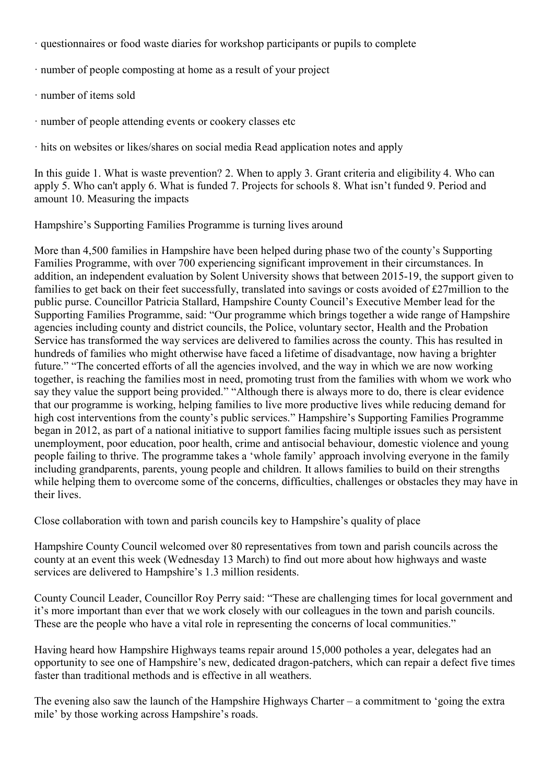- · questionnaires or food waste diaries for workshop participants or pupils to complete
- · number of people composting at home as a result of your project
- · number of items sold
- · number of people attending events or cookery classes etc

· hits on websites or likes/shares on social media Read application notes and apply

In this guide 1. What is waste prevention? 2. When to apply 3. Grant criteria and eligibility 4. Who can apply 5. Who can't apply 6. What is funded 7. Projects for schools 8. What isn't funded 9. Period and amount 10. Measuring the impacts

Hampshire's Supporting Families Programme is turning lives around

More than 4,500 families in Hampshire have been helped during phase two of the county's Supporting Families Programme, with over 700 experiencing significant improvement in their circumstances. In addition, an independent evaluation by Solent University shows that between 2015-19, the support given to families to get back on their feet successfully, translated into savings or costs avoided of £27million to the public purse. Councillor Patricia Stallard, Hampshire County Council's Executive Member lead for the Supporting Families Programme, said: "Our programme which brings together a wide range of Hampshire agencies including county and district councils, the Police, voluntary sector, Health and the Probation Service has transformed the way services are delivered to families across the county. This has resulted in hundreds of families who might otherwise have faced a lifetime of disadvantage, now having a brighter future." "The concerted efforts of all the agencies involved, and the way in which we are now working together, is reaching the families most in need, promoting trust from the families with whom we work who say they value the support being provided." "Although there is always more to do, there is clear evidence that our programme is working, helping families to live more productive lives while reducing demand for high cost interventions from the county's public services." Hampshire's Supporting Families Programme began in 2012, as part of a national initiative to support families facing multiple issues such as persistent unemployment, poor education, poor health, crime and antisocial behaviour, domestic violence and young people failing to thrive. The programme takes a 'whole family' approach involving everyone in the family including grandparents, parents, young people and children. It allows families to build on their strengths while helping them to overcome some of the concerns, difficulties, challenges or obstacles they may have in their lives.

Close collaboration with town and parish councils key to Hampshire's quality of place

Hampshire County Council welcomed over 80 representatives from town and parish councils across the county at an event this week (Wednesday 13 March) to find out more about how highways and waste services are delivered to Hampshire's 1.3 million residents.

County Council Leader, Councillor Roy Perry said: "These are challenging times for local government and it's more important than ever that we work closely with our colleagues in the town and parish councils. These are the people who have a vital role in representing the concerns of local communities."

Having heard how Hampshire Highways teams repair around 15,000 potholes a year, delegates had an opportunity to see one of Hampshire's new, dedicated dragon-patchers, which can repair a defect five times faster than traditional methods and is effective in all weathers.

The evening also saw the launch of the Hampshire Highways Charter – a commitment to 'going the extra mile' by those working across Hampshire's roads.